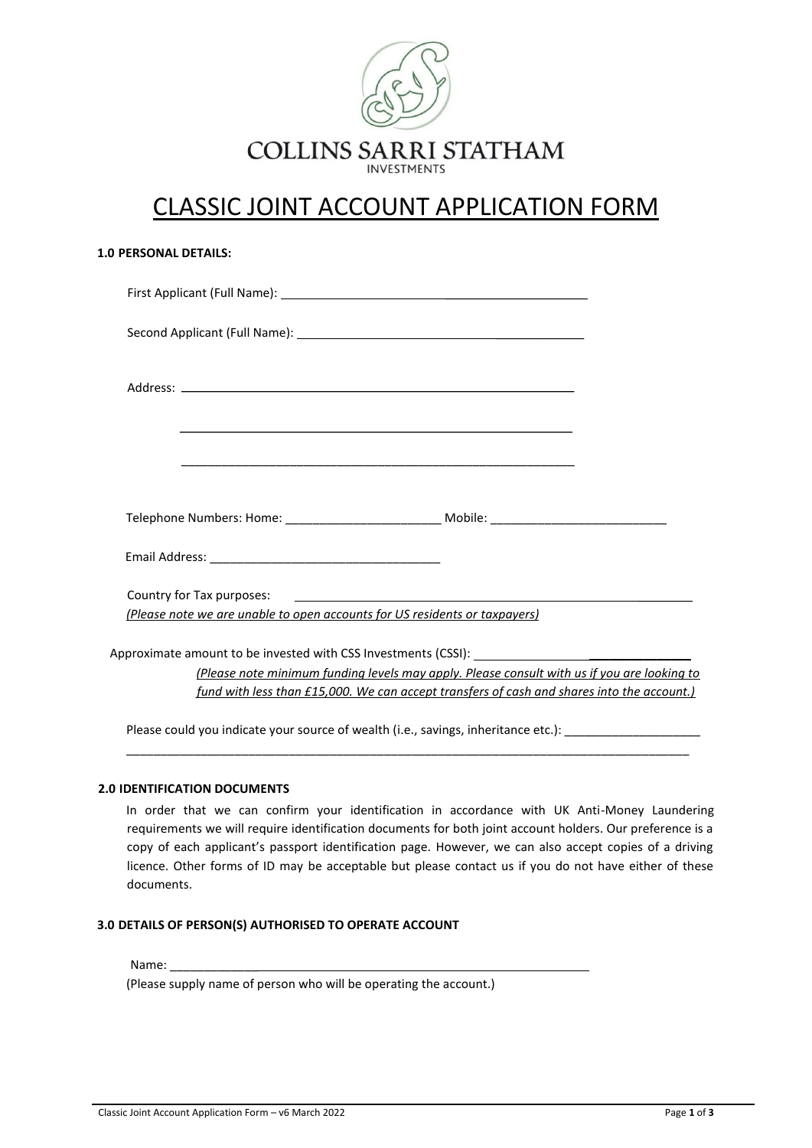

# CLASSIC JOINT ACCOUNT APPLICATION FORM

| <b>1.0 PERSONAL DETAILS:</b>                                               |                                                                                                     |
|----------------------------------------------------------------------------|-----------------------------------------------------------------------------------------------------|
|                                                                            |                                                                                                     |
|                                                                            |                                                                                                     |
|                                                                            |                                                                                                     |
|                                                                            | <u> 1989 - Johann Stoff, amerikansk politiker (d. 1989)</u>                                         |
|                                                                            |                                                                                                     |
|                                                                            | Telephone Numbers: Home: __________________________________Mobile: ________________________________ |
|                                                                            |                                                                                                     |
|                                                                            |                                                                                                     |
| (Please note we are unable to open accounts for US residents or taxpayers) |                                                                                                     |
|                                                                            |                                                                                                     |
|                                                                            | (Please note minimum funding levels may apply. Please consult with us if you are looking to         |
|                                                                            | fund with less than £15,000. We can accept transfers of cash and shares into the account.)          |

Please could you indicate your source of wealth (i.e., savings, inheritance etc.): \_\_\_\_\_

## **2.0 IDENTIFICATION DOCUMENTS**

In order that we can confirm your identification in accordance with UK Anti-Money Laundering requirements we will require identification documents for both joint account holders. Our preference is a copy of each applicant's passport identification page. However, we can also accept copies of a driving licence. Other forms of ID may be acceptable but please contact us if you do not have either of these documents.

\_\_\_\_\_\_\_\_\_\_\_\_\_\_\_\_\_\_\_\_\_\_\_\_\_\_\_\_\_\_\_\_\_\_\_\_\_\_\_\_\_\_\_\_\_\_\_\_\_\_\_\_\_\_\_\_\_\_\_\_\_\_\_\_\_\_\_\_\_\_\_\_\_\_\_\_\_\_\_\_\_\_\_

### **3.0 DETAILS OF PERSON(S) AUTHORISED TO OPERATE ACCOUNT**

## Name:

(Please supply name of person who will be operating the account.)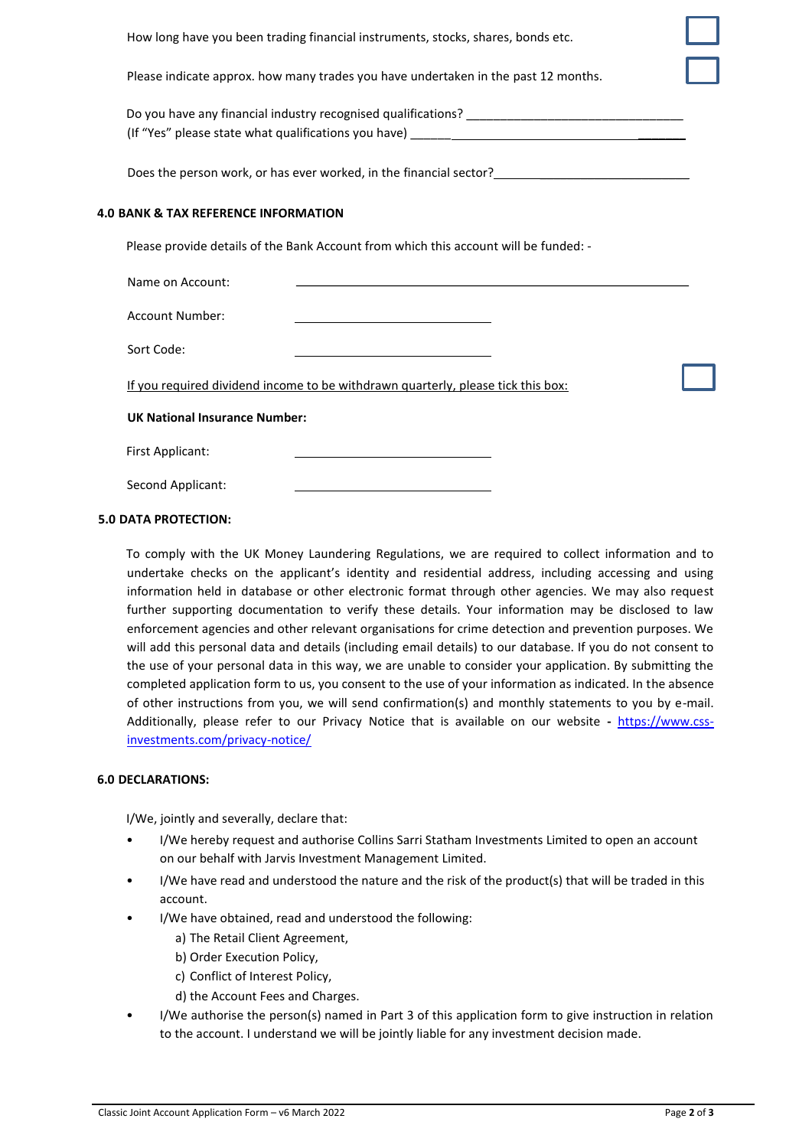How long have you been trading financial instruments, stocks, shares, bonds etc. Please indicate approx. how many trades you have undertaken in the past 12 months. Do you have any financial industry recognised qualifications? (If "Yes" please state what qualifications you have) Does the person work, or has ever worked, in the financial sector? **4.0 BANK & TAX REFERENCE INFORMATION**  Please provide details of the Bank Account from which this account will be funded: - Name on Account: Account Number: Sort Code: If you required dividend income to be withdrawn quarterly, please tick this box: **UK National Insurance Number:**  First Applicant: Second Applicant:

#### **5.0 DATA PROTECTION:**

To comply with the UK Money Laundering Regulations, we are required to collect information and to undertake checks on the applicant's identity and residential address, including accessing and using information held in database or other electronic format through other agencies. We may also request further supporting documentation to verify these details. Your information may be disclosed to law enforcement agencies and other relevant organisations for crime detection and prevention purposes. We will add this personal data and details (including email details) to our database. If you do not consent to the use of your personal data in this way, we are unable to consider your application. By submitting the completed application form to us, you consent to the use of your information as indicated. In the absence of other instructions from you, we will send confirmation(s) and monthly statements to you by e-mail. Additionally, please refer to our Privacy Notice that is available on our website **-** [https://www.css](https://www.css-investments.com/privacy-notice/)[investments.com/privacy-notice/](https://www.css-investments.com/privacy-notice/)

#### **6.0 DECLARATIONS:**

I/We, jointly and severally, declare that:

- I/We hereby request and authorise Collins Sarri Statham Investments Limited to open an account on our behalf with Jarvis Investment Management Limited.
- I/We have read and understood the nature and the risk of the product(s) that will be traded in this account.
- I/We have obtained, read and understood the following:
	- a) The Retail Client Agreement,
	- b) Order Execution Policy,
	- c) Conflict of Interest Policy,
	- d) the Account Fees and Charges.
- I/We authorise the person(s) named in Part 3 of this application form to give instruction in relation to the account. I understand we will be jointly liable for any investment decision made.